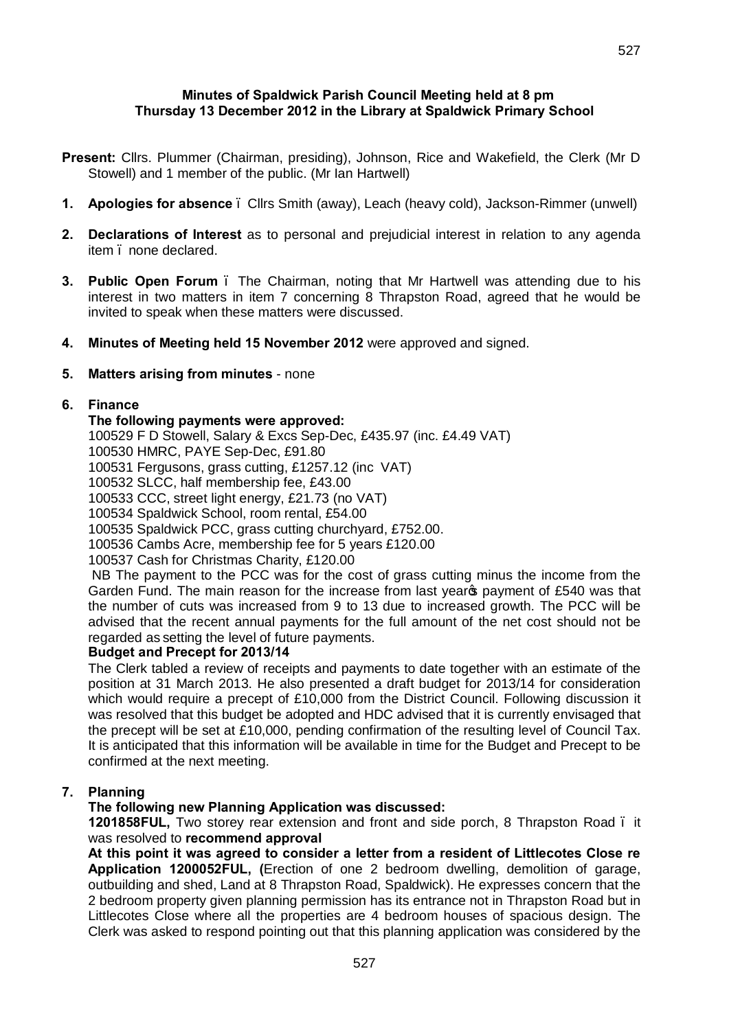## **Minutes of Spaldwick Parish Council Meeting held at 8 pm Thursday 13 December 2012 in the Library at Spaldwick Primary School**

- **Present:** Cllrs. Plummer (Chairman, presiding), Johnson, Rice and Wakefield, the Clerk (Mr D Stowell) and 1 member of the public. (Mr Ian Hartwell)
- **1. Apologies for absence**  Cllrs Smith (away), Leach (heavy cold), Jackson-Rimmer (unwell)
- **2. Declarations of Interest** as to personal and prejudicial interest in relation to any agenda item – none declared.
- **3. Public Open Forum** . The Chairman, noting that Mr Hartwell was attending due to his interest in two matters in item 7 concerning 8 Thrapston Road, agreed that he would be invited to speak when these matters were discussed.
- **4. Minutes of Meeting held 15 November 2012** were approved and signed.

## **5. Matters arising from minutes** - none

## **6. Finance**

## **The following payments were approved:**

100529 F D Stowell, Salary & Excs Sep-Dec, £435.97 (inc. £4.49 VAT)

100530 HMRC, PAYE Sep-Dec, £91.80

100531 Fergusons, grass cutting, £1257.12 (inc VAT)

100532 SLCC, half membership fee, £43.00

100533 CCC, street light energy, £21.73 (no VAT)

100534 Spaldwick School, room rental, £54.00

100535 Spaldwick PCC, grass cutting churchyard, £752.00.

100536 Cambs Acre, membership fee for 5 years £120.00

100537 Cash for Christmas Charity, £120.00

NB The payment to the PCC was for the cost of grass cutting minus the income from the Garden Fund. The main reason for the increase from last year payment of £540 was that the number of cuts was increased from 9 to 13 due to increased growth. The PCC will be advised that the recent annual payments for the full amount of the net cost should not be regarded as setting the level of future payments.

## **Budget and Precept for 2013/14**

The Clerk tabled a review of receipts and payments to date together with an estimate of the position at 31 March 2013. He also presented a draft budget for 2013/14 for consideration which would require a precept of £10,000 from the District Council. Following discussion it was resolved that this budget be adopted and HDC advised that it is currently envisaged that the precept will be set at £10,000, pending confirmation of the resulting level of Council Tax. It is anticipated that this information will be available in time for the Budget and Precept to be confirmed at the next meeting.

## **7. Planning**

## **The following new Planning Application was discussed:**

**1201858FUL,** Two storey rear extension and front and side porch, 8 Thrapston Road – it was resolved to **recommend approval**

**At this point it was agreed to consider a letter from a resident of Littlecotes Close re Application 1200052FUL, (**Erection of one 2 bedroom dwelling, demolition of garage, outbuilding and shed, Land at 8 Thrapston Road, Spaldwick). He expresses concern that the 2 bedroom property given planning permission has its entrance not in Thrapston Road but in Littlecotes Close where all the properties are 4 bedroom houses of spacious design. The Clerk was asked to respond pointing out that this planning application was considered by the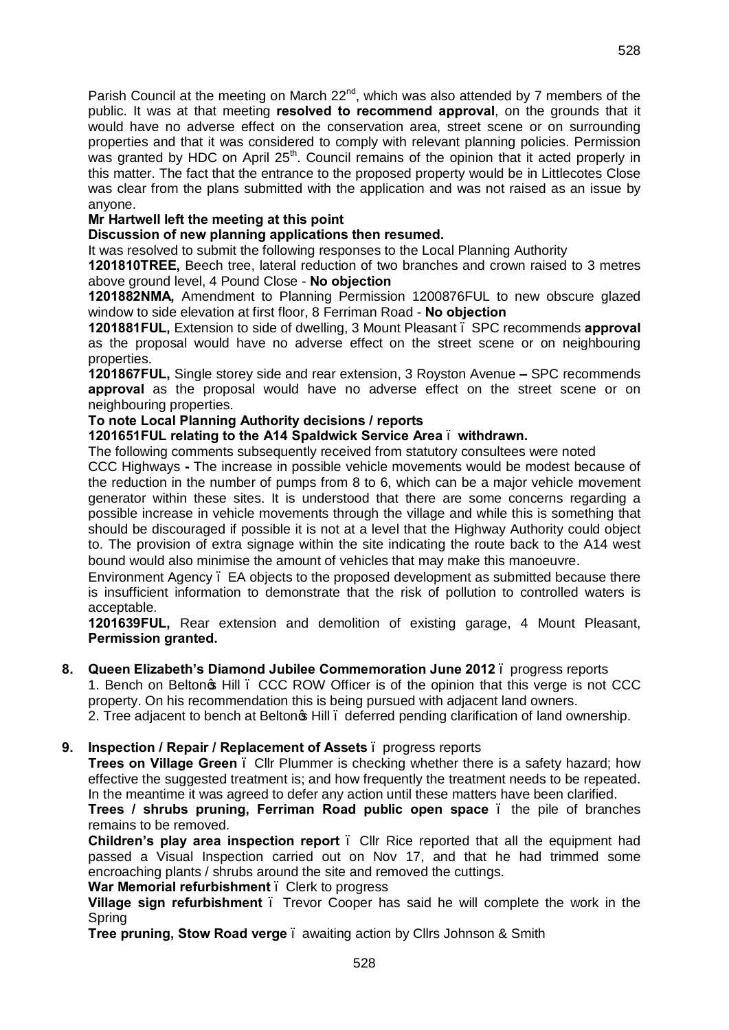Parish Council at the meeting on March  $22<sup>nd</sup>$ , which was also attended by 7 members of the public. It was at that meeting **resolved to recommend approval**, on the grounds that it would have no adverse effect on the conservation area, street scene or on surrounding properties and that it was considered to comply with relevant planning policies. Permission was granted by HDC on April 25<sup>th</sup>. Council remains of the opinion that it acted properly in this matter. The fact that the entrance to the proposed property would be in Littlecotes Close was clear from the plans submitted with the application and was not raised as an issue by anyone.

## **Mr Hartwell left the meeting at this point**

## **Discussion of new planning applications then resumed.**

It was resolved to submit the following responses to the Local Planning Authority

**1201810TREE,** Beech tree, lateral reduction of two branches and crown raised to 3 metres above ground level, 4 Pound Close - **No objection**

**1201882NMA,** Amendment to Planning Permission 1200876FUL to new obscure glazed window to side elevation at first floor, 8 Ferriman Road - **No objection**

**1201881FUL,** Extension to side of dwelling, 3 Mount Pleasant – SPC recommends **approval**  as the proposal would have no adverse effect on the street scene or on neighbouring properties.

**1201867FUL,** Single storey side and rear extension, 3 Royston Avenue **–** SPC recommends **approval** as the proposal would have no adverse effect on the street scene or on neighbouring properties.

#### **To note Local Planning Authority decisions / reports**

#### **1201651FUL relating to the A14 Spaldwick Service Area** – **withdrawn.**

The following comments subsequently received from statutory consultees were noted

CCC Highways **-** The increase in possible vehicle movements would be modest because of the reduction in the number of pumps from 8 to 6, which can be a major vehicle movement generator within these sites. It is understood that there are some concerns regarding a possible increase in vehicle movements through the village and while this is something that should be discouraged if possible it is not at a level that the Highway Authority could object to. The provision of extra signage within the site indicating the route back to the A14 west bound would also minimise the amount of vehicles that may make this manoeuvre.

Environment Agency – EA objects to the proposed development as submitted because there is insufficient information to demonstrate that the risk of pollution to controlled waters is acceptable.

**1201639FUL,** Rear extension and demolition of existing garage, 4 Mount Pleasant, **Permission granted.**

## **8. Queen Elizabeth's Diamond Jubilee Commemoration June 2012** – progress reports

1. Bench on Belton's Hill – CCC ROW Officer is of the opinion that this verge is not CCC property. On his recommendation this is being pursued with adjacent land owners.

2. Tree adjacent to bench at Belton<sub>®</sub> Hill edeferred pending clarification of land ownership.

## **9. Inspection / Repair / Replacement of Assets** – progress reports

**Trees on Village Green** – Cllr Plummer is checking whether there is a safety hazard; how effective the suggested treatment is; and how frequently the treatment needs to be repeated. In the meantime it was agreed to defer any action until these matters have been clarified.

**Trees / shrubs pruning, Ferriman Road public open space** – the pile of branches remains to be removed.

**Children's play area inspection report** – Cllr Rice reported that all the equipment had passed a Visual Inspection carried out on Nov 17, and that he had trimmed some encroaching plants / shrubs around the site and removed the cuttings.

**War Memorial refurbishment** . Clerk to progress

**Village sign refurbishment** . Trevor Cooper has said he will complete the work in the Spring

**Tree pruning, Stow Road verge** – awaiting action by Cllrs Johnson & Smith